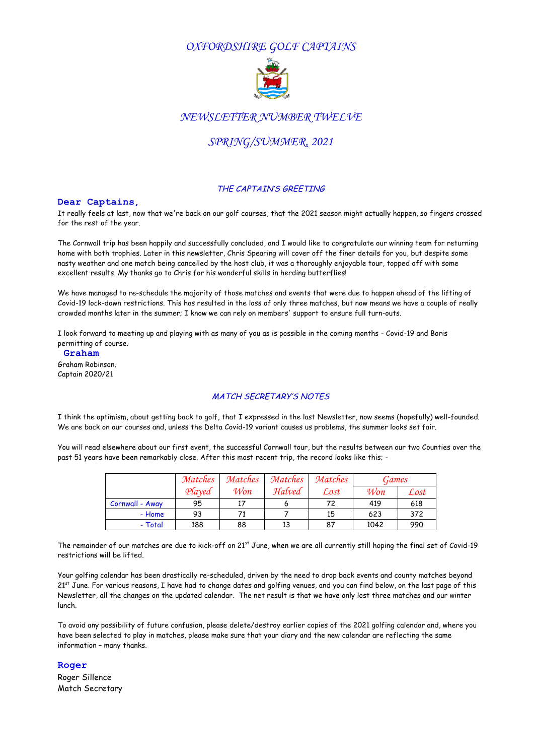## *OXFORDSHIRE GOLF CAPTAINS*



### *NEWSLETTER NUMBER TWELVE*

# *SPRING/SUMMER, 2021*

#### THE CAPTAIN'S GREETING

#### **Dear Captains,**

It really feels at last, now that we're back on our golf courses, that the 2021 season might actually happen, so fingers crossed for the rest of the year.

The Cornwall trip has been happily and successfully concluded, and I would like to congratulate our winning team for returning home with both trophies. Later in this newsletter, Chris Spearing will cover off the finer details for you, but despite some nasty weather and one match being cancelled by the host club, it was a thoroughly enjoyable tour, topped off with some excellent results. My thanks go to Chris for his wonderful skills in herding butterflies!

We have managed to re-schedule the majority of those matches and events that were due to happen ahead of the lifting of Covid-19 lock-down restrictions. This has resulted in the loss of only three matches, but now means we have a couple of really crowded months later in the summer; I know we can rely on members' support to ensure full turn-outs.

I look forward to meeting up and playing with as many of you as is possible in the coming months - Covid-19 and Boris permitting of course.

**Graham** Graham Robinson. Captain 2020/21

#### MATCH SECRETARY'S NOTES

I think the optimism, about getting back to golf, that I expressed in the last Newsletter, now seems (hopefully) well-founded. We are back on our courses and, unless the Delta Covid-19 variant causes us problems, the summer looks set fair.

You will read elsewhere about our first event, the successful Cornwall tour, but the results between our two Counties over the past 51 years have been remarkably close. After this most recent trip, the record looks like this; -

|                 | Matches | Matches | Matches | Matches | Games |      |
|-----------------|---------|---------|---------|---------|-------|------|
|                 | Played  | Won     | Halved  | Lost    | Won   | Lost |
| Cornwall - Away | 95      |         |         | 72      | 419   | 618  |
| - Home          | 93      |         |         | 15      | 623   | 372  |
| - Total         | 188     | 88      | 13      | 87      | 1042  | 990  |

The remainder of our matches are due to kick-off on 21<sup>st</sup> June, when we are all currently still hoping the final set of Covid-19 restrictions will be lifted.

Your golfing calendar has been drastically re-scheduled, driven by the need to drop back events and county matches beyond  $21^{st}$  June. For various reasons, I have had to change dates and golfing venues, and you can find below, on the last page of this Newsletter, all the changes on the updated calendar. The net result is that we have only lost three matches and our winter lunch.

To avoid any possibility of future confusion, please delete/destroy earlier copies of the 2021 golfing calendar and, where you have been selected to play in matches, please make sure that your diary and the new calendar are reflecting the same information – many thanks.

**Roger**

Roger Sillence Match Secretary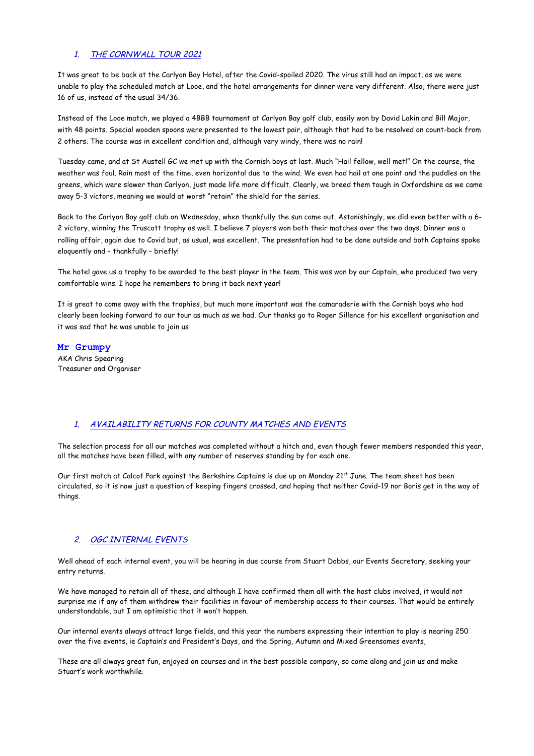#### 1. THE CORNWALL TOUR 2021

It was great to be back at the Carlyon Bay Hotel, after the Covid-spoiled 2020. The virus still had an impact, as we were unable to play the scheduled match at Looe, and the hotel arrangements for dinner were very different. Also, there were just 16 of us, instead of the usual 34/36.

Instead of the Looe match, we played a 4BBB tournament at Carlyon Bay golf club, easily won by David Lakin and Bill Major, with 48 points. Special wooden spoons were presented to the lowest pair, although that had to be resolved on count-back from 2 others. The course was in excellent condition and, although very windy, there was no rain!

Tuesday came, and at St Austell GC we met up with the Cornish boys at last. Much "Hail fellow, well met!" On the course, the weather was foul. Rain most of the time, even horizontal due to the wind. We even had hail at one point and the puddles on the greens, which were slower than Carlyon, just made life more difficult. Clearly, we breed them tough in Oxfordshire as we came away 5-3 victors, meaning we would at worst "retain" the shield for the series.

Back to the Carlyon Bay golf club on Wednesday, when thankfully the sun came out. Astonishingly, we did even better with a 6- 2 victory, winning the Truscott trophy as well. I believe 7 players won both their matches over the two days. Dinner was a rolling affair, again due to Covid but, as usual, was excellent. The presentation had to be done outside and both Captains spoke eloquently and – thankfully – briefly!

The hotel gave us a trophy to be awarded to the best player in the team. This was won by our Captain, who produced two very comfortable wins. I hope he remembers to bring it back next year!

It is great to come away with the trophies, but much more important was the camaraderie with the Cornish boys who had clearly been looking forward to our tour as much as we had. Our thanks go to Roger Sillence for his excellent organisation and it was sad that he was unable to join us

#### **Mr Grumpy**

AKA Chris Spearing Treasurer and Organiser

#### 1. AVAILABILITY RETURNS FOR COUNTY MATCHES AND EVENTS

The selection process for all our matches was completed without a hitch and, even though fewer members responded this year, all the matches have been filled, with any number of reserves standing by for each one.

Our first match at Calcot Park against the Berkshire Captains is due up on Monday 21<sup>st</sup> June. The team sheet has been circulated, so it is now just a question of keeping fingers crossed, and hoping that neither Covid-19 nor Boris get in the way of things.

#### 2. OGC INTERNAL EVENTS

Well ahead of each internal event, you will be hearing in due course from Stuart Dobbs, our Events Secretary, seeking your entry returns.

We have managed to retain all of these, and although I have confirmed them all with the host clubs involved, it would not surprise me if any of them withdrew their facilities in favour of membership access to their courses. That would be entirely understandable, but I am optimistic that it won't happen.

Our internal events always attract large fields, and this year the numbers expressing their intention to play is nearing 250 over the five events, ie Captain's and President's Days, and the Spring, Autumn and Mixed Greensomes events,

These are all always great fun, enjoyed on courses and in the best possible company, so come along and join us and make Stuart's work worthwhile.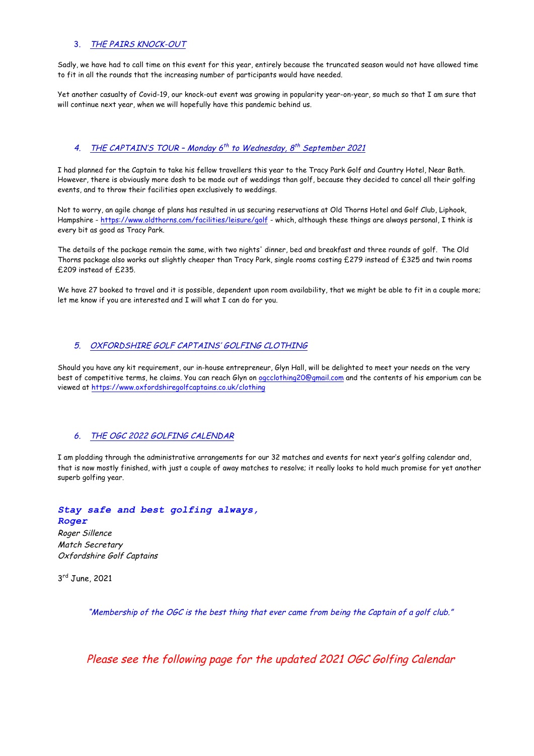#### 3. THE PAIRS KNOCK-OUT

Sadly, we have had to call time on this event for this year, entirely because the truncated season would not have allowed time to fit in all the rounds that the increasing number of participants would have needed.

Yet another casualty of Covid-19, our knock-out event was growing in popularity year-on-year, so much so that I am sure that will continue next year, when we will hopefully have this pandemic behind us.

#### 4. THE CAPTAIN'S TOUR - Monday  $6^{th}$  to Wednesday,  $8^{th}$  September 2021

I had planned for the Captain to take his fellow travellers this year to the Tracy Park Golf and Country Hotel, Near Bath. However, there is obviously more dosh to be made out of weddings than golf, because they decided to cancel all their golfing events, and to throw their facilities open exclusively to weddings.

Not to worry, an agile change of plans has resulted in us securing reservations at Old Thorns Hotel and Golf Club, Liphook, Hampshire - https://www.oldthorns.com/facilities/leisure/golf - which, although these things are always personal, I think is every bit as good as Tracy Park.

The details of the package remain the same, with two nights' dinner, bed and breakfast and three rounds of golf. The Old Thorns package also works out slightly cheaper than Tracy Park, single rooms costing £279 instead of £325 and twin rooms £209 instead of £235.

We have 27 booked to travel and it is possible, dependent upon room availability, that we might be able to fit in a couple more; let me know if you are interested and I will what I can do for you.

#### 5. OXFORDSHIRE GOLF CAPTAINS' GOLFING CLOTHING

Should you have any kit requirement, our in-house entrepreneur, Glyn Hall, will be delighted to meet your needs on the very best of competitive terms, he claims. You can reach Glyn on ogcclothing20@gmail.com and the contents of his emporium can be viewed at https://www.oxfordshiregolfcaptains.co.uk/clothing

#### 6. THE OGC 2022 GOLFING CALENDAR

I am plodding through the administrative arrangements for our 32 matches and events for next year's golfing calendar and, that is now mostly finished, with just a couple of away matches to resolve; it really looks to hold much promise for yet another superb golfing year.

*Stay safe and best golfing always, Roger*

Roger Sillence Match Secretary Oxfordshire Golf Captains

3rd June, 2021

"Membership of the OGC is the best thing that ever came from being the Captain of a golf club."

Please see the following page for the updated 2021 OGC Golfing Calendar